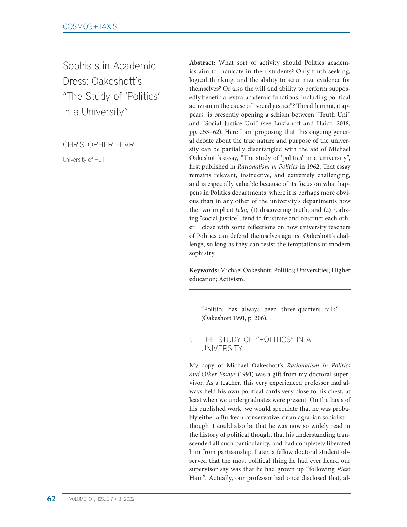Sophists in Academic Dress: Oakeshott's "The Study of 'Politics' in a University"

CHRISTOPHER FEAR

University of Hull

**Abstract:** What sort of activity should Politics academics aim to inculcate in their students? Only truth-seeking, logical thinking, and the ability to scrutinize evidence for themselves? Or also the will and ability to perform supposedly beneficial extra-academic functions, including political activism in the cause of "social justice"? This dilemma, it appears, is presently opening a schism between "Truth Uni" and "Social Justice Uni" (see Lukianoff and Haidt, 2018, pp. 253–62). Here I am proposing that this ongoing general debate about the true nature and purpose of the university can be partially disentangled with the aid of Michael Oakeshott's essay, "The study of 'politics' in a university", first published in *Rationalism in Politics* in 1962. That essay remains relevant, instructive, and extremely challenging, and is especially valuable because of its focus on what happens in Politics departments, where it is perhaps more obvious than in any other of the university's departments how the two implicit *teloi*, (1) discovering truth, and (2) realizing "social justice", tend to frustrate and obstruct each other. I close with some reflections on how university teachers of Politics can defend themselves against Oakeshott's challenge, so long as they can resist the temptations of modern sophistry.

**Keywords:** Michael Oakeshott; Politics; Universities; Higher education; Activism.

"Politics has always been three-quarters talk" (Oakeshott 1991, p. 206).

### I. THE STUDY OF "POLITICS" IN A **UNIVERSITY**

My copy of Michael Oakeshott's *Rationalism in Politics and Other Essays* (1991) was a gift from my doctoral supervisor. As a teacher, this very experienced professor had always held his own political cards very close to his chest, at least when we undergraduates were present. On the basis of his published work, we would speculate that he was probably either a Burkean conservative, or an agrarian socialist though it could also be that he was now so widely read in the history of political thought that his understanding transcended all such particularity, and had completely liberated him from partisanship. Later, a fellow doctoral student observed that the most political thing he had ever heard our supervisor say was that he had grown up "following West Ham". Actually, our professor had once disclosed that, al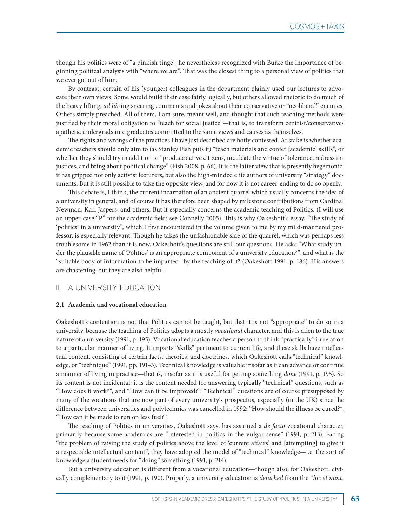though his politics were of "a pinkish tinge", he nevertheless recognized with Burke the importance of beginning political analysis with "where we are". That was the closest thing to a personal view of politics that we ever got out of him.

By contrast, certain of his (younger) colleagues in the department plainly used our lectures to advocate their own views. Some would build their case fairly logically, but others allowed rhetoric to do much of the heavy lifting, *ad lib*-ing sneering comments and jokes about their conservative or "neoliberal" enemies. Others simply preached. All of them, I am sure, meant well, and thought that such teaching methods were justified by their moral obligation to "teach for social justice"—that is, to transform centrist/conservative/ apathetic undergrads into graduates committed to the same views and causes as themselves.

The rights and wrongs of the practices I have just described are hotly contested. At stake is whether academic teachers should only aim to (as Stanley Fish puts it) "teach materials and confer [academic] skills", or whether they should try in addition to "produce active citizens, inculcate the virtue of tolerance, redress injustices, and bring about political change" (Fish 2008, p. 66). It is the latter view that is presently hegemonic: it has gripped not only activist lecturers, but also the high-minded elite authors of university "strategy" documents. But it is still possible to take the opposite view, and for now it is not career-ending to do so openly.

This debate is, I think, the current incarnation of an ancient quarrel which usually concerns the idea of a university in general, and of course it has therefore been shaped by milestone contributions from Cardinal Newman, Karl Jaspers, and others. But it especially concerns the academic teaching of Politics. (I will use an upper-case "P" for the academic field: see Connelly 2005). This is why Oakeshott's essay, "The study of 'politics' in a university", which I first encountered in the volume given to me by my mild-mannered professor, is especially relevant. Though he takes the unfashionable side of the quarrel, which was perhaps less troublesome in 1962 than it is now, Oakeshott's questions are still our questions. He asks "What study under the plausible name of 'Politics' is an appropriate component of a university education?", and what is the "suitable body of information to be imparted" by the teaching of it? (Oakeshott 1991, p. 186). His answers are chastening, but they are also helpful.

### II. A UNIVERSITY EDUCATION

#### **2.1 Academic and vocational education**

Oakeshott's contention is not that Politics cannot be taught, but that it is not "appropriate" to do so in a university, because the teaching of Politics adopts a mostly *vocational* character, and this is alien to the true nature of a university (1991, p. 195). Vocational education teaches a person to think "practically" in relation to a particular manner of living. It imparts "skills" pertinent to current life, and these skills have intellectual content, consisting of certain facts, theories, and doctrines, which Oakeshott calls "technical" knowledge, or "technique" (1991, pp. 191–3). Technical knowledge is valuable insofar as it can advance or continue a manner of living in practice—that is, insofar as it is useful for getting something *done* (1991, p. 195). So its content is not incidental: it is the content needed for answering typically "technical" questions, such as "How does it work?", and "How can it be improved?". "Technical" questions are of course presupposed by many of the vocations that are now part of every university's prospectus, especially (in the UK) since the difference between universities and polytechnics was cancelled in 1992: "How should the illness be cured?", "How can it be made to run on less fuel?".

The teaching of Politics in universities, Oakeshott says, has assumed a *de facto* vocational character, primarily because some academics are "interested in politics in the vulgar sense" (1991, p. 213). Facing "the problem of raising the study of politics above the level of 'current affairs' and [attempting] to give it a respectable intellectual content", they have adopted the model of "technical" knowledge—i.e. the sort of knowledge a student needs for "doing" something (1991, p. 214).

But a university education is different from a vocational education—though also, for Oakeshott, civically complementary to it (1991, p. 190). Properly, a university education is *detached* from the "*hic et nunc*,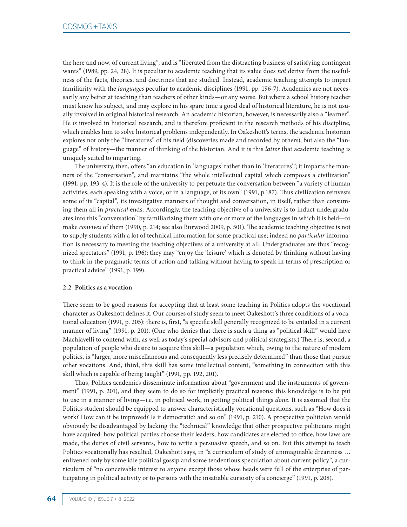the here and now, of current living", and is "liberated from the distracting business of satisfying contingent wants" (1989, pp. 24, 28). It is peculiar to academic teaching that its value does *not* derive from the usefulness of the facts, theories, and doctrines that are studied. Instead, academic teaching attempts to impart familiarity with the *languages* peculiar to academic disciplines (1991, pp. 196-7). Academics are not necessarily any better at teaching than teachers of other kinds—or any worse. But where a school history teacher must know his subject, and may explore in his spare time a good deal of historical literature, he is not usually involved in original historical research. An academic historian, however, is necessarily also a "learner". He *is* involved in historical research, and is therefore proficient in the research methods of his discipline, which enables him to solve historical problems independently. In Oakeshott's terms, the academic historian explores not only the "literatures" of his field (discoveries made and recorded by others), but also the "language" of history—the manner of thinking of the historian. And it is this *latter* that academic teaching is uniquely suited to imparting.

The university, then, offers "an education in 'languages' rather than in 'literatures'"; it imparts the manners of the "conversation", and maintains "the whole intellectual capital which composes a civilization" (1991, pp. 193-4). It is the role of the university to perpetuate the conversation between "a variety of human activities, each speaking with a voice, or in a language, of its own" (1991, p.187). Thus civilization reinvests some of its "capital", its investigative manners of thought and conversation, in itself, rather than consuming them all in *practical* ends. Accordingly, the teaching objective of a university is to induct undergraduates into this "conversation" by familiarizing them with one or more of the languages in which it is held—to make *convives* of them (1990, p. 214; see also Burwood 2009, p. 501). The academic teaching objective is not to supply students with a lot of technical information for some practical use; indeed no *particular* information is necessary to meeting the teaching objectives of a university at all. Undergraduates are thus "recognized spectators" (1991, p. 196); they may "enjoy the 'leisure' which is denoted by thinking without having to think in the pragmatic terms of action and talking without having to speak in terms of prescription or practical advice" (1991, p. 199).

### **2.2 Politics as a vocation**

There seem to be good reasons for accepting that at least some teaching in Politics adopts the vocational character as Oakeshott defines it. Our courses of study seem to meet Oakeshott's three conditions of a vocational education (1991, p. 205): there is, first, "a specific skill generally recognized to be entailed in a current manner of living" (1991, p. 201). (One who denies that there is such a thing as "political skill" would have Machiavelli to contend with, as well as today's special advisors and political strategists.) There is, second, a population of people who desire to acquire this skill—a population which, owing to the nature of modern politics, is "larger, more miscellaneous and consequently less precisely determined" than those that pursue other vocations. And, third, this skill has some intellectual content, "something in connection with this skill which is capable of being taught" (1991, pp. 192, 201).

Thus, Politics academics disseminate information about "government and the instruments of government" (1991, p. 201), and they seem to do so for implicitly practical reasons: this knowledge is to be put to use in a manner of living—i.e. in political work, in getting political things *done*. It is assumed that the Politics student should be equipped to answer characteristically vocational questions, such as "How does it work? How can it be improved? Is it democratic? and so on" (1991, p. 210). A prospective politician would obviously be disadvantaged by lacking the "technical" knowledge that other prospective politicians might have acquired: how political parties choose their leaders, how candidates are elected to office, how laws are made, the duties of civil servants, how to write a persuasive speech, and so on. But this attempt to teach Politics vocationally has resulted, Oakeshott says, in "a curriculum of study of unimaginable dreariness … enlivened only by some idle political gossip and some tendentious speculation about current policy", a curriculum of "no conceivable interest to anyone except those whose heads were full of the enterprise of participating in political activity or to persons with the insatiable curiosity of a concierge" (1991, p. 208).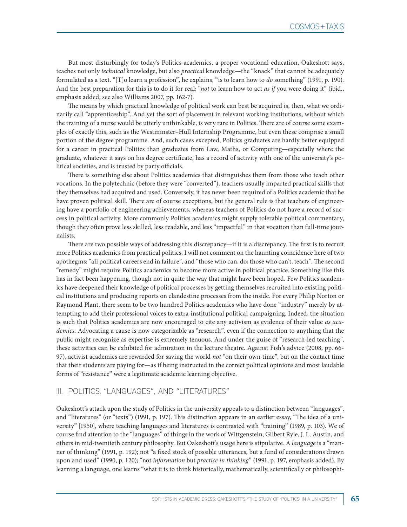But most disturbingly for today's Politics academics, a proper vocational education, Oakeshott says, teaches not only *technical* knowledge, but also *practical* knowledge—the "knack" that cannot be adequately formulated as a text. "[T]o learn a profession", he explains, "is to learn how to *do* something" (1991, p. 190). And the best preparation for this is to do it for real; "*not* to learn how to act *as if* you were doing it" (ibid., emphasis added; see also Williams 2007, pp. 162-7).

The means by which practical knowledge of political work can best be acquired is, then, what we ordinarily call "apprenticeship". And yet the sort of placement in relevant working institutions, without which the training of a nurse would be utterly unthinkable, is very rare in Politics. There are of course some examples of exactly this, such as the Westminster–Hull Internship Programme, but even these comprise a small portion of the degree programme. And, such cases excepted, Politics graduates are hardly better equipped for a career in practical Politics than graduates from Law, Maths, or Computing—especially where the graduate, whatever it says on his degree certificate, has a record of activity with one of the university's political societies, and is trusted by party officials.

There is something else about Politics academics that distinguishes them from those who teach other vocations. In the polytechnic (before they were "converted"), teachers usually imparted practical skills that they themselves had acquired and used. Conversely, it has never been required of a Politics academic that he have proven political skill. There are of course exceptions, but the general rule is that teachers of engineering have a portfolio of engineering achievements, whereas teachers of Politics do not have a record of success in political activity. More commonly Politics academics might supply tolerable political commentary, though they often prove less skilled, less readable, and less "impactful" in that vocation than full-time journalists.

There are two possible ways of addressing this discrepancy—if it is a discrepancy. The first is to recruit more Politics academics from practical politics. I will not comment on the haunting coincidence here of two apothegms: "all political careers end in failure", and "those who can, do; those who can't, teach". The second "remedy" might require Politics academics to become more active in political practice. Something like this has in fact been happening, though not in quite the way that might have been hoped. Few Politics academics have deepened their knowledge of political processes by getting themselves recruited into existing political institutions and producing reports on clandestine processes from the inside. For every Philip Norton or Raymond Plant, there seem to be two hundred Politics academics who have done "industry" merely by attempting to add their professional voices to extra-institutional political campaigning. Indeed, the situation is such that Politics academics are now encouraged to cite any activism as evidence of their value *as academics*. Advocating a cause is now categorizable as "research", even if the connection to anything that the public might recognize as expertise is extremely tenuous. And under the guise of "research-led teaching", these activities can be exhibited for admiration in the lecture theatre. Against Fish's advice (2008, pp. 66- 97), activist academics are rewarded for saving the world *not* "on their own time", but on the contact time that their students are paying for—as if being instructed in the correct political opinions and most laudable forms of "resistance" were a legitimate academic learning objective.

# III. POLITICS, "LANGUAGES", AND "LITERATURES"

Oakeshott's attack upon the study of Politics in the university appeals to a distinction between "languages", and "literatures" (or "texts") (1991, p. 197). This distinction appears in an earlier essay, "The idea of a university" [1950], where teaching languages and literatures is contrasted with "training" (1989, p. 103). We of course find attention to the "languages" of things in the work of Wittgenstein, Gilbert Ryle, J. L. Austin, and others in mid-twentieth century philosophy. But Oakeshott's usage here is stipulative. A *language* is a "manner of thinking" (1991, p. 192); not "a fixed stock of possible utterances, but a fund of considerations drawn upon and used" (1990, p. 120); "not *information* but *practice in thinking*" (1991, p. 197, emphasis added). By learning a language, one learns "what it is to think historically, mathematically, scientifically or philosophi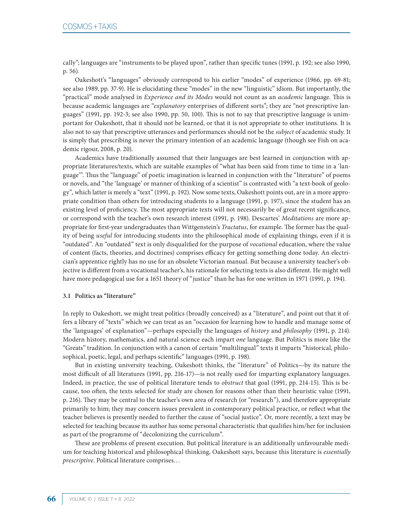cally"; languages are "instruments to be played upon", rather than specific tunes (1991, p. 192; see also 1990, p. 56).

Oakeshott's "languages" obviously correspond to his earlier "modes" of experience (1966, pp. 69-81; see also 1989, pp. 37-9). He is elucidating these "modes" in the new "linguistic" idiom. But importantly, the "practical" mode analysed in *Experience and its Modes* would not count as an *academic* language. This is because academic languages are "*explanatory* enterprises of different sorts"; they are "not prescriptive languages" (1991, pp. 192-3; see also 1990, pp. 50, 100). This is not to say that prescriptive language is unimportant for Oakeshott, that it should not be learned, or that it is not appropriate to other institutions. It is also not to say that prescriptive utterances and performances should not be the *subject* of academic study. It is simply that prescribing is never the primary intention of an academic language (though see Fish on academic rigour, 2008, p. 20).

Academics have traditionally assumed that their languages are best learned in conjunction with appropriate literatures/texts, which are suitable examples of "what has been said from time to time in a 'language'". Thus the "language" of poetic imagination is learned in conjunction with the "literature" of poems or novels, and "the 'language' or manner of thinking of a scientist" is contrasted with "a text-book of geology", which latter is merely a "text" (1991, p. 192). Now some texts, Oakeshott points out, are in a more appropriate condition than others for introducing students to a language (1991, p. 197), since the student has an existing level of proficiency. The most appropriate texts will not necessarily be of great recent significance, or correspond with the teacher's own research interest (1991, p. 198). Descartes' *Meditations* are more appropriate for first-year undergraduates than Wittgenstein's *Tractatus*, for example. The former has the quality of being *useful* for introducing students into the philosophical mode of explaining things, even if it is "outdated". An "outdated" text is only disqualified for the purpose of *vocational* education, where the value of content (facts, theories, and doctrines) comprises efficacy for getting something done today. An electrician's apprentice rightly has no use for an obsolete Victorian manual. But because a university teacher's objective is different from a vocational teacher's, his rationale for selecting texts is also different. He might well have more pedagogical use for a 1651 theory of "justice" than he has for one written in 1971 (1991, p. 194).

#### **3.1 Politics as "literature"**

In reply to Oakeshott, we might treat politics (broadly conceived) as a "literature", and point out that it offers a library of "texts" which we can treat as an "occasion for learning how to handle and manage some of the 'languages' of explanation"—perhaps especially the languages of *history* and *philosophy* (1991, p. 214). Modern history, mathematics, and natural science each impart *one* language. But Politics is more like the "Greats" tradition. In conjunction with a canon of certain "multilingual" texts it imparts "historical, philosophical, poetic, legal, and perhaps scientific" languages (1991, p. 198).

But in existing university teaching, Oakeshott thinks, the "literature" of Politics—by its nature the most difficult of all literatures (1991, pp. 216-17)—is not really used for imparting explanatory languages. Indeed, in practice, the use of political literature tends to *obstruct* that goal (1991, pp. 214-15). This is because, too often, the texts selected for study are chosen for reasons other than their heuristic value (1991, p. 216). They may be central to the teacher's own area of research (or "research"), and therefore appropriate primarily to him; they may concern issues prevalent in contemporary political practice, or reflect what the teacher believes is presently needed to further the cause of "social justice". Or, more recently, a text may be selected for teaching because its author has some personal characteristic that qualifies him/her for inclusion as part of the programme of "decolonizing the curriculum".

These are problems of present execution. But political literature is an additionally unfavourable medium for teaching historical and philosophical thinking, Oakeshott says, because this literature is *essentially prescriptive*. Political literature comprises…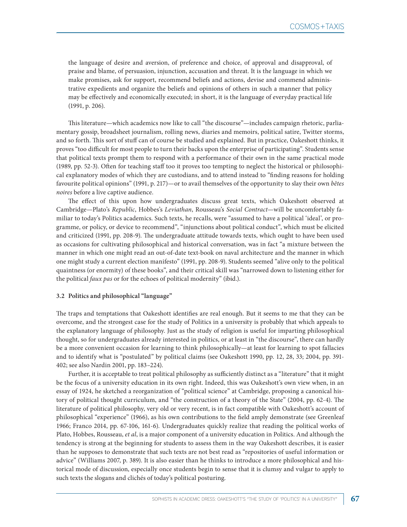the language of desire and aversion, of preference and choice, of approval and disapproval, of praise and blame, of persuasion, injunction, accusation and threat. It is the language in which we make promises, ask for support, recommend beliefs and actions, devise and commend administrative expedients and organize the beliefs and opinions of others in such a manner that policy may be effectively and economically executed; in short, it is the language of everyday practical life (1991, p. 206).

This literature—which academics now like to call "the discourse"—includes campaign rhetoric, parliamentary gossip, broadsheet journalism, rolling news, diaries and memoirs, political satire, Twitter storms, and so forth. This sort of stuff can of course be studied and explained. But in practice, Oakeshott thinks, it proves "too difficult for most people to turn their backs upon the enterprise of participating". Students sense that political texts prompt them to respond with a performance of their own in the same practical mode (1989, pp. 52-3). Often for teaching staff too it proves too tempting to neglect the historical or philosophical explanatory modes of which they are custodians, and to attend instead to "finding reasons for holding favourite political opinions" (1991, p. 217)—or to avail themselves of the opportunity to slay their own *bêtes noires* before a live captive audience.

The effect of this upon how undergraduates discuss great texts, which Oakeshott observed at Cambridge—Plato's *Republic*, Hobbes's *Leviathan*, Rousseau's *Social Contract*—will be uncomfortably familiar to today's Politics academics. Such texts, he recalls, were "assumed to have a political 'ideal', or programme, or policy, or device to recommend", "injunctions about political conduct", which must be elicited and criticized (1991, pp. 208-9). The undergraduate attitude towards texts, which ought to have been used as occasions for cultivating philosophical and historical conversation, was in fact "a mixture between the manner in which one might read an out-of-date text-book on naval architecture and the manner in which one might study a current election manifesto" (1991, pp. 208-9). Students seemed "alive only to the political quaintness (or enormity) of these books", and their critical skill was "narrowed down to listening either for the political *faux pas* or for the echoes of political modernity" (ibid.).

#### **3.2 Politics and philosophical "language"**

The traps and temptations that Oakeshott identifies are real enough. But it seems to me that they can be overcome, and the strongest case for the study of Politics in a university is probably that which appeals to the explanatory language of philosophy. Just as the study of religion is useful for imparting philosophical thought, so for undergraduates already interested in politics, or at least in "the discourse", there can hardly be a more convenient occasion for learning to think philosophically—at least for learning to spot fallacies and to identify what is "postulated" by political claims (see Oakeshott 1990, pp. 12, 28, 33; 2004, pp. 391- 402; see also Nardin 2001, pp. 183–224).

Further, it is acceptable to treat political philosophy as sufficiently distinct as a "literature" that it might be the focus of a university education in its own right. Indeed, this was Oakeshott's own view when, in an essay of 1924, he sketched a reorganization of "political science" at Cambridge, proposing a canonical history of political thought curriculum, and "the construction of a theory of the State" (2004, pp. 62-4). The literature of political philosophy, very old or very recent, is in fact compatible with Oakeshott's account of philosophical "experience" (1966), as his own contributions to the field amply demonstrate (see Greenleaf 1966; Franco 2014, pp. 67-106, 161-6). Undergraduates quickly realize that reading the political works of Plato, Hobbes, Rousseau, *et al*, is a major component of a university education in Politics. And although the tendency is strong at the beginning for students to assess them in the way Oakeshott describes, it is easier than he supposes to demonstrate that such texts are not best read as "repositories of useful information or advice" (Williams 2007, p. 389). It is also easier than he thinks to introduce a more philosophical and historical mode of discussion, especially once students begin to sense that it is clumsy and vulgar to apply to such texts the slogans and clichés of today's political posturing.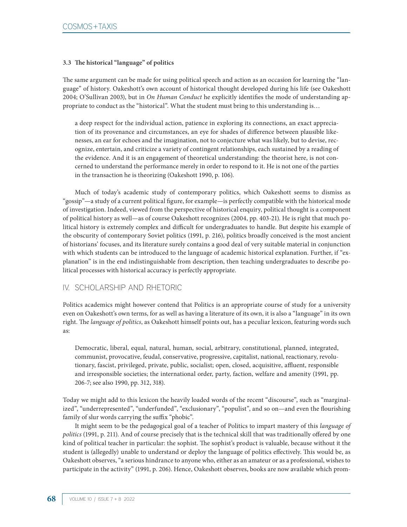### **3.3 The historical "language" of politics**

The same argument can be made for using political speech and action as an occasion for learning the "language" of history. Oakeshott's own account of historical thought developed during his life (see Oakeshott 2004; O'Sullivan 2003), but in *On Human Conduct* he explicitly identifies the mode of understanding appropriate to conduct as the "historical". What the student must bring to this understanding is…

a deep respect for the individual action, patience in exploring its connections, an exact appreciation of its provenance and circumstances, an eye for shades of difference between plausible likenesses, an ear for echoes and the imagination, not to conjecture what was likely, but to devise, recognize, entertain, and criticize a variety of contingent relationships, each sustained by a reading of the evidence. And it is an engagement of theoretical understanding: the theorist here, is not concerned to understand the performance merely in order to respond to it. He is not one of the parties in the transaction he is theorizing (Oakeshott 1990, p. 106).

Much of today's academic study of contemporary politics, which Oakeshott seems to dismiss as "gossip"—a study of a current political figure, for example—is perfectly compatible with the historical mode of investigation. Indeed, viewed from the perspective of historical enquiry, political thought is a component of political history as well—as of course Oakeshott recognizes (2004, pp. 403-21). He is right that much political history is extremely complex and difficult for undergraduates to handle. But despite his example of the obscurity of contemporary Soviet politics (1991, p. 216), politics broadly conceived is the most ancient of historians' focuses, and its literature surely contains a good deal of very suitable material in conjunction with which students can be introduced to the language of academic historical explanation. Further, if "explanation" is in the end indistinguishable from description, then teaching undergraduates to describe political processes with historical accuracy is perfectly appropriate.

# IV. SCHOLARSHIP AND RHETORIC

Politics academics might however contend that Politics is an appropriate course of study for a university even on Oakeshott's own terms, for as well as having a literature of its own, it is also a "language" in its own right. The *language of politics*, as Oakeshott himself points out, has a peculiar lexicon, featuring words such as:

Democratic, liberal, equal, natural, human, social, arbitrary, constitutional, planned, integrated, communist, provocative, feudal, conservative, progressive, capitalist, national, reactionary, revolutionary, fascist, privileged, private, public, socialist; open, closed, acquisitive, affluent, responsible and irresponsible societies; the international order, party, faction, welfare and amenity (1991, pp. 206-7; see also 1990, pp. 312, 318).

Today we might add to this lexicon the heavily loaded words of the recent "discourse", such as "marginalized", "underrepresented", "underfunded", "exclusionary", "populist", and so on—and even the flourishing family of slur words carrying the suffix "phobic".

It might seem to be the pedagogical goal of a teacher of Politics to impart mastery of this *language of politics* (1991, p. 211). And of course precisely that is the technical skill that was traditionally offered by one kind of political teacher in particular: the sophist. The sophist's product is valuable, because without it the student is (allegedly) unable to understand or deploy the language of politics effectively. This would be, as Oakeshott observes, "a serious hindrance to anyone who, either as an amateur or as a professional, wishes to participate in the activity" (1991, p. 206). Hence, Oakeshott observes, books are now available which prom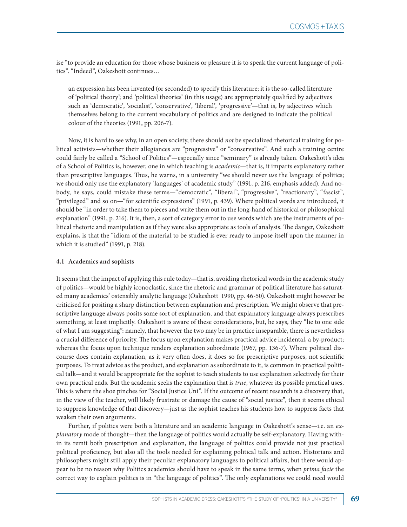ise "to provide an education for those whose business or pleasure it is to speak the current language of politics". "Indeed", Oakeshott continues…

an expression has been invented (or seconded) to specify this literature; it is the so-called literature of 'political theory'; and 'political theories' (in this usage) are appropriately qualified by adjectives such as 'democratic', 'socialist', 'conservative', 'liberal', 'progressive'—that is, by adjectives which themselves belong to the current vocabulary of politics and are designed to indicate the political colour of the theories (1991, pp. 206-7).

Now, it is hard to see why, in an open society, there should *not* be specialized rhetorical training for political activists—whether their allegiances are "progressive" or "conservative". And such a training centre could fairly be called a "School of Politics"—especially since "seminary" is already taken. Oakeshott's idea of a School of Politics is, however, one in which teaching is *academic—*that is, it imparts explanatory rather than prescriptive languages. Thus, he warns, in a university "we should never *use* the language of politics; we should only use the explanatory 'languages' of academic study" (1991, p. 216, emphasis added). And nobody, he says, could mistake these terms—"democratic", "liberal", "progressive", "reactionary", "fascist", "privileged" and so on—"for scientific expressions" (1991, p. 439). Where political words are introduced, it should be "in order to take them to pieces and write them out in the long-hand of historical or philosophical explanation" (1991, p. 216). It is, then, a sort of category error to use words which are the instruments of political rhetoric and manipulation as if they were also appropriate as tools of analysis. The danger, Oakeshott explains, is that the "idiom of the material to be studied is ever ready to impose itself upon the manner in which it is studied" (1991, p. 218).

#### **4.1 Academics and sophists**

It seems that the impact of applying this rule today—that is, avoiding rhetorical words in the academic study of politics—would be highly iconoclastic, since the rhetoric and grammar of political literature has saturated many academics' ostensibly analytic language (Oakeshott 1990, pp. 46-50). Oakeshott might however be criticised for positing a sharp distinction between explanation and prescription. We might observe that prescriptive language always posits some sort of explanation, and that explanatory language always prescribes something, at least implicitly. Oakeshott is aware of these considerations, but, he says, they "lie to one side of what I am suggesting": namely, that however the two may be in practice inseparable, there is nevertheless a crucial difference of priority. The focus upon explanation makes practical advice incidental, a by-product; whereas the focus upon technique renders explanation subordinate (1967, pp. 136-7). Where political discourse does contain explanation, as it very often does, it does so for prescriptive purposes, not scientific purposes. To treat advice as the product, and explanation as subordinate to it, is common in practical political talk—and it would be appropriate for the sophist to teach students to use explanation selectively for their own practical ends. But the academic seeks the explanation that is *true*, whatever its possible practical uses. This is where the shoe pinches for "Social Justice Uni". If the outcome of recent research is a discovery that, in the view of the teacher, will likely frustrate or damage the cause of "social justice", then it seems ethical to suppress knowledge of that discovery—just as the sophist teaches his students how to suppress facts that weaken their own arguments.

Further, if politics were both a literature and an academic language in Oakeshott's sense—i.e. an *explanatory* mode of thought—then the language of politics would actually be self-explanatory. Having within its remit both prescription and explanation, the language of politics could provide not just practical political proficiency, but also all the tools needed for explaining political talk and action. Historians and philosophers might still apply their peculiar explanatory languages to political affairs, but there would appear to be no reason why Politics academics should have to speak in the same terms, when *prima facie* the correct way to explain politics is in "the language of politics". The only explanations we could need would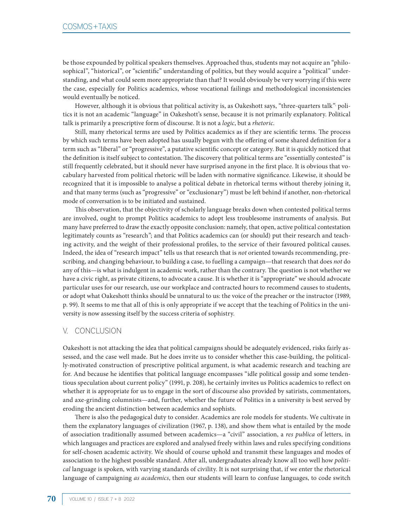be those expounded by political speakers themselves. Approached thus, students may not acquire an "philosophical", "historical", or "scientific" understanding of politics, but they would acquire a "political" understanding, and what could seem more appropriate than that? It would obviously be very worrying if this were the case, especially for Politics academics, whose vocational failings and methodological inconsistencies would eventually be noticed.

However, although it is obvious that political activity is, as Oakeshott says, "three-quarters talk"<sup>,</sup> politics it is not an academic "language" in Oakeshott's sense, because it is not primarily explanatory. Political talk is primarily a prescriptive form of discourse. It is not a *logic*, but a *rhetoric*.

Still, many rhetorical terms are used by Politics academics as if they are scientific terms. The process by which such terms have been adopted has usually begun with the offering of some shared definition for a term such as "liberal" or "progressive", a putative scientific concept or category. But it is quickly noticed that the definition is itself subject to contestation. The discovery that political terms are "essentially contested" is still frequently celebrated, but it should never have surprised anyone in the first place. It is obvious that vocabulary harvested from political rhetoric will be laden with normative significance. Likewise, it should be recognized that it is impossible to analyse a political debate in rhetorical terms without thereby joining it, and that many terms (such as "progressive" or "exclusionary") must be left behind if another, non-rhetorical mode of conversation is to be initiated and sustained.

This observation, that the objectivity of scholarly language breaks down when contested political terms are involved, ought to prompt Politics academics to adopt less troublesome instruments of analysis. But many have preferred to draw the exactly opposite conclusion: namely, that open, active political contestation legitimately counts as "research"; and that Politics academics can (or should) put their research and teaching activity, and the weight of their professional profiles, to the service of their favoured political causes. Indeed, the idea of "research impact" tells us that research that is *not* oriented towards recommending, prescribing, and changing behaviour, to building a case, to fuelling a campaign—that research that does *not* do any of this—is what is indulgent in academic work, rather than the contrary. The question is not whether we have a civic right, as private citizens, to advocate a cause. It is whether it is "appropriate" we should advocate particular uses for our research, use our workplace and contracted hours to recommend causes to students, or adopt what Oakeshott thinks should be unnatural to us: the voice of the preacher or the instructor (1989, p. 99). It seems to me that all of this is only appropriate if we accept that the teaching of Politics in the university is now assessing itself by the success criteria of sophistry.

# V. CONCLUSION

Oakeshott is not attacking the idea that political campaigns should be adequately evidenced, risks fairly assessed, and the case well made. But he does invite us to consider whether this case-building, the politically-motivated construction of prescriptive political argument, is what academic research and teaching are for. And because he identifies that political language encompasses "idle political gossip and some tendentious speculation about current policy" (1991, p. 208), he certainly invites us Politics academics to reflect on whether it is appropriate for us to engage in the sort of discourse also provided by satirists, commentators, and axe-grinding columnists—and, further, whether the future of Politics in a university is best served by eroding the ancient distinction between academics and sophists.

There is also the pedagogical duty to consider. Academics are role models for students. We cultivate in them the explanatory languages of civilization (1967, p. 138), and show them what is entailed by the mode of association traditionally assumed between academics—a "civil" association, a *res publica* of letters, in which languages and practices are explored and analysed freely within laws and rules specifying conditions for self-chosen academic activity. We should of course uphold and transmit these languages and modes of association to the highest possible standard. After all, undergraduates already know all too well how *political* language is spoken, with varying standards of civility. It is not surprising that, if we enter the rhetorical language of campaigning *as academics*, then our students will learn to confuse languages, to code switch